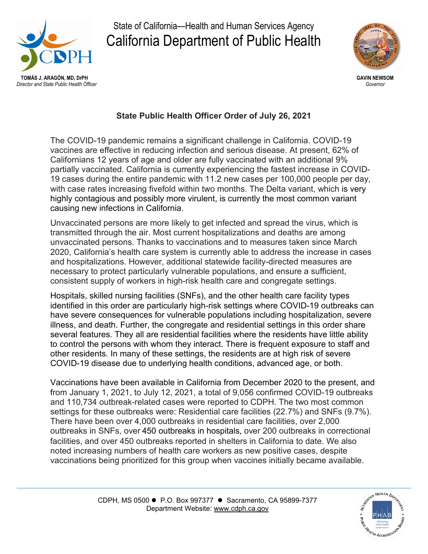

State of California—Health and Human Services Agency California Department of Public Health



## **State Public Health Officer Order of July 26, 2021**

The COVID-19 pandemic remains a significant challenge in California. COVID-19 vaccines are effective in reducing infection and serious disease. At present, 62% of Californians 12 years of age and older are fully vaccinated with an additional 9% partially vaccinated. California is currently experiencing the fastest increase in COVID-19 cases during the entire pandemic with 11.2 new cases per 100,000 people per day, with case rates increasing fivefold within two months. The Delta variant, which is very highly contagious and possibly more virulent, is currently the most common variant causing new infections in California.

Unvaccinated persons are more likely to get infected and spread the virus, which is transmitted through the air. Most current hospitalizations and deaths are among unvaccinated persons. Thanks to vaccinations and to measures taken since March 2020, California's health care system is currently able to address the increase in cases and hospitalizations. However, additional statewide facility-directed measures are necessary to protect particularly vulnerable populations, and ensure a sufficient, consistent supply of workers in high-risk health care and congregate settings.

Hospitals, skilled nursing facilities (SNFs), and the other health care facility types identified in this order are particularly high-risk settings where COVID-19 outbreaks can have severe consequences for vulnerable populations including hospitalization, severe illness, and death. Further, the congregate and residential settings in this order share several features. They all are residential facilities where the residents have little ability to control the persons with whom they interact. There is frequent exposure to staff and other residents. In many of these settings, the residents are at high risk of severe COVID-19 disease due to underlying health conditions, advanced age, or both.

Vaccinations have been available in California from December 2020 to the present, and from January 1, 2021, to July 12, 2021, a total of 9,056 confirmed COVID-19 outbreaks and 110,734 outbreak-related cases were reported to CDPH. The two most common settings for these outbreaks were: Residential care facilities (22.7%) and SNFs (9.7%). There have been over 4,000 outbreaks in residential care facilities, over 2,000 outbreaks in SNFs, over 450 outbreaks in hospitals, over 200 outbreaks in correctional facilities, and over 450 outbreaks reported in shelters in California to date. We also noted increasing numbers of health care workers as new positive cases, despite vaccinations being prioritized for this group when vaccines initially became available.

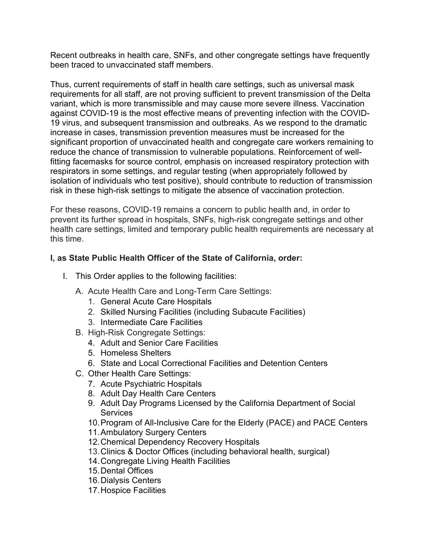Recent outbreaks in health care, SNFs, and other congregate settings have frequently been traced to unvaccinated staff members.

Thus, current requirements of staff in health care settings, such as universal mask requirements for all staff, are not proving sufficient to prevent transmission of the Delta variant, which is more transmissible and may cause more severe illness. Vaccination against COVID-19 is the most effective means of preventing infection with the COVID-19 virus, and subsequent transmission and outbreaks. As we respond to the dramatic increase in cases, transmission prevention measures must be increased for the significant proportion of unvaccinated health and congregate care workers remaining to reduce the chance of transmission to vulnerable populations. Reinforcement of wellfitting facemasks for source control, emphasis on increased respiratory protection with respirators in some settings, and regular testing (when appropriately followed by isolation of individuals who test positive), should contribute to reduction of transmission risk in these high-risk settings to mitigate the absence of vaccination protection.

For these reasons, COVID-19 remains a concern to public health and, in order to prevent its further spread in hospitals, SNFs, high-risk congregate settings and other health care settings, limited and temporary public health requirements are necessary at this time.

## **I, as State Public Health Officer of the State of California, order:**

- I. This Order applies to the following facilities:
	- A. Acute Health Care and Long-Term Care Settings:
		- 1. General Acute Care Hospitals
		- 2. Skilled Nursing Facilities (including Subacute Facilities)
		- 3. Intermediate Care Facilities
	- B. High-Risk Congregate Settings:
		- 4. Adult and Senior Care Facilities
		- 5. Homeless Shelters
		- 6. State and Local [Correctional Facilities and Detention Centers](https://www.cdc.gov/coronavirus/2019-ncov/community/correction-detention/guidance-correctional-detention.html#infection-control)
	- C. Other Health Care Settings:
		- 7. Acute Psychiatric Hospitals
		- 8. Adult Day Health Care Centers
		- 9. Adult Day Programs Licensed by the California Department of Social **Services**
		- 10.Program of All-Inclusive Care for the Elderly (PACE) and PACE Centers
		- 11.Ambulatory Surgery Centers
		- 12.Chemical Dependency Recovery Hospitals
		- 13.Clinics & Doctor Offices (including behavioral health, surgical)
		- 14.Congregate Living Health Facilities
		- 15.Dental Offices
		- 16.Dialysis Centers
		- 17.Hospice Facilities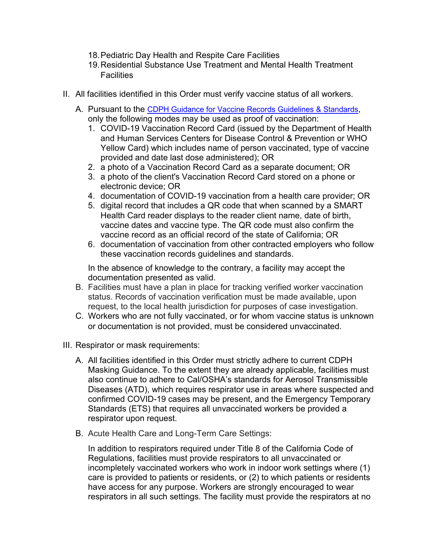- 18.Pediatric Day Health and Respite Care Facilities
- 19.Residential Substance Use Treatment and Mental Health Treatment **Facilities**
- II. All facilities identified in this Order must verify vaccine status of all workers.
	- A. Pursuant to the [CDPH Guidance for Vaccine Records Guidelines & Standards,](https://www.cdph.ca.gov/Programs/CID/DCDC/Pages/COVID-19/Vaccine-Record-Guidelines-Standards.aspx) only the following modes may be used as proof of vaccination:
		- 1. COVID-19 Vaccination Record Card (issued by the Department of Health and Human Services Centers for Disease Control & Prevention or WHO Yellow Card) which includes name of person vaccinated, type of vaccine provided and date last dose administered); OR
		- 2. a photo of a Vaccination Record Card as a separate document; OR
		- 3. a photo of the client's Vaccination Record Card stored on a phone or electronic device; OR
		- 4. documentation of COVID-19 vaccination from a health care provider; OR
		- 5. digital record that includes a QR code that when scanned by a SMART Health Card reader displays to the reader client name, date of birth, vaccine dates and vaccine type. The QR code must also confirm the vaccine record as an official record of the state of California; OR
		- 6. documentation of vaccination from other contracted employers who follow these vaccination records guidelines and standards.

In the absence of knowledge to the contrary, a facility may accept the documentation presented as valid.

- B. Facilities must have a plan in place for tracking verified worker vaccination status. Records of vaccination verification must be made available, upon request, to the local health jurisdiction for purposes of case investigation.
- C. Workers who are not fully vaccinated, or for whom vaccine status is unknown or documentation is not provided, must be considered unvaccinated.
- III. Respirator or mask requirements:
	- A. All facilities identified in this Order must strictly adhere to current [CDPH](https://www.cdph.ca.gov/Programs/CID/DCDC/Pages/COVID-19/guidance-for-face-coverings.aspx)  [Masking Guidance.](https://www.cdph.ca.gov/Programs/CID/DCDC/Pages/COVID-19/guidance-for-face-coverings.aspx) To the extent they are already applicable, facilities must also continue to adhere to Cal/OSHA's standards for Aerosol Transmissible Diseases (ATD), which requires respirator use in areas where suspected and confirmed COVID-19 cases may be present, and the Emergency Temporary Standards (ETS) that requires all unvaccinated workers be provided a respirator upon request.
	- B. Acute Health Care and Long-Term Care Settings:

In addition to respirators required under Title 8 of the California Code of Regulations, facilities must provide respirators to all unvaccinated or incompletely vaccinated workers who work in indoor work settings where (1) care is provided to patients or residents, or (2) to which patients or residents have access for any purpose. Workers are strongly encouraged to wear respirators in all such settings. The facility must provide the respirators at no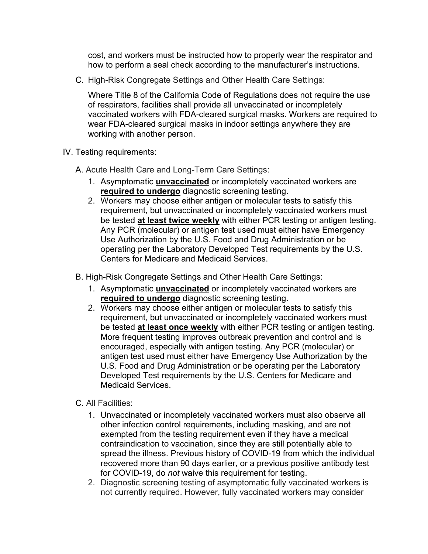cost, and workers must be instructed how to properly wear the respirator and how to perform a seal check according to the manufacturer's instructions.

C. High-Risk Congregate Settings and Other Health Care Settings:

Where Title 8 of the California Code of Regulations does not require the use of respirators, facilities shall provide all unvaccinated or incompletely vaccinated workers with FDA-cleared surgical masks. Workers are required to wear FDA-cleared surgical masks in indoor settings anywhere they are working with another person.

- IV. Testing requirements:
	- A. Acute Health Care and Long-Term Care Settings:
		- 1. Asymptomatic **unvaccinated** or incompletely vaccinated workers are **required to undergo** diagnostic screening testing.
		- 2. Workers may choose either antigen or molecular tests to satisfy this requirement, but unvaccinated or incompletely vaccinated workers must be tested **at least twice weekly** with either PCR testing or antigen testing. Any PCR (molecular) or antigen test used must either have Emergency Use Authorization by the U.S. Food and Drug Administration or be operating per the Laboratory Developed Test requirements by the U.S. Centers for Medicare and Medicaid Services.
	- B. High-Risk Congregate Settings and Other Health Care Settings:
		- 1. Asymptomatic **unvaccinated** or incompletely vaccinated workers are **required to undergo** diagnostic screening testing.
		- 2. Workers may choose either antigen or molecular tests to satisfy this requirement, but unvaccinated or incompletely vaccinated workers must be tested **at least once weekly** with either PCR testing or antigen testing. More frequent testing improves outbreak prevention and control and is encouraged, especially with antigen testing. Any PCR (molecular) or antigen test used must either have Emergency Use Authorization by the U.S. Food and Drug Administration or be operating per the Laboratory Developed Test requirements by the U.S. Centers for Medicare and Medicaid Services.
	- C. All Facilities:
		- 1. Unvaccinated or incompletely vaccinated workers must also observe all other infection control requirements, including masking, and are not exempted from the testing requirement even if they have a medical contraindication to vaccination, since they are still potentially able to spread the illness. Previous history of COVID-19 from which the individual recovered more than 90 days earlier, or a previous positive antibody test for COVID-19, do *not* waive this requirement for testing.
		- 2. Diagnostic screening testing of asymptomatic fully vaccinated workers is not currently required. However, fully vaccinated workers may consider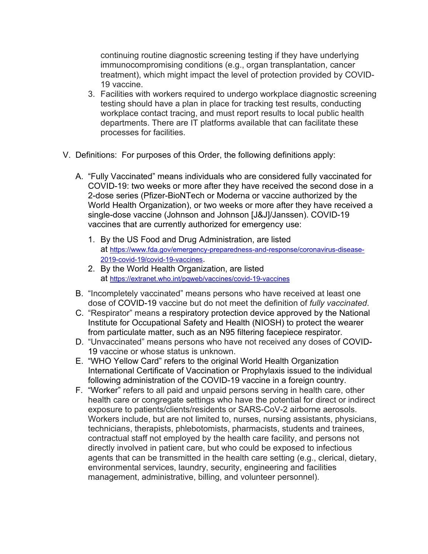continuing routine diagnostic screening testing if they have underlying immunocompromising conditions (e.g., organ transplantation, cancer treatment), which might impact the level of protection provided by COVID-19 vaccine.

- 3. Facilities with workers required to undergo workplace diagnostic screening testing should have a plan in place for tracking test results, conducting workplace contact tracing, and must report results to local public health departments. There are IT platforms available that can facilitate these processes for facilities.
- V. Definitions: For purposes of this Order, the following definitions apply:
	- A. "Fully Vaccinated" means individuals who are considered fully vaccinated for COVID-19: two weeks or more after they have received the second dose in a 2-dose series (Pfizer-BioNTech or Moderna or vaccine authorized by the World Health Organization), or two weeks or more after they have received a single-dose vaccine (Johnson and Johnson [J&J]/Janssen). COVID-19 vaccines that are currently authorized for emergency use:
		- 1. By the US Food and Drug Administration, are listed at [https://www.fda.gov/emergency-preparedness-and-response/coronavirus-disease-](https://www.fda.gov/emergency-preparedness-and-response/coronavirus-disease-2019-covid-19/covid-19-vaccines)[2019-covid-19/covid-19-vaccines.](https://www.fda.gov/emergency-preparedness-and-response/coronavirus-disease-2019-covid-19/covid-19-vaccines)
		- 2. By the World Health Organization, are listed at <https://extranet.who.int/pqweb/vaccines/covid-19-vaccines>
	- B. "Incompletely vaccinated" means persons who have received at least one dose of COVID-19 vaccine but do not meet the definition of *fully vaccinated*.
	- C. "Respirator" means a respiratory protection device approved by the National Institute for Occupational Safety and Health (NIOSH) to protect the wearer from particulate matter, such as an N95 filtering facepiece respirator.
	- D. "Unvaccinated" means persons who have not received any doses of COVID-19 vaccine or whose status is unknown.
	- E. "WHO Yellow Card" refers to the original World Health Organization International Certificate of Vaccination or Prophylaxis issued to the individual following administration of the COVID-19 vaccine in a foreign country.
	- F. "Worker" refers to all paid and unpaid persons serving in health care, other health care or congregate settings who have the potential for direct or indirect exposure to patients/clients/residents or SARS-CoV-2 airborne aerosols. Workers include, but are not limited to, nurses, nursing assistants, physicians, technicians, therapists, phlebotomists, pharmacists, students and trainees, contractual staff not employed by the health care facility, and persons not directly involved in patient care, but who could be exposed to infectious agents that can be transmitted in the health care setting (e.g., clerical, dietary, environmental services, laundry, security, engineering and facilities management, administrative, billing, and volunteer personnel).